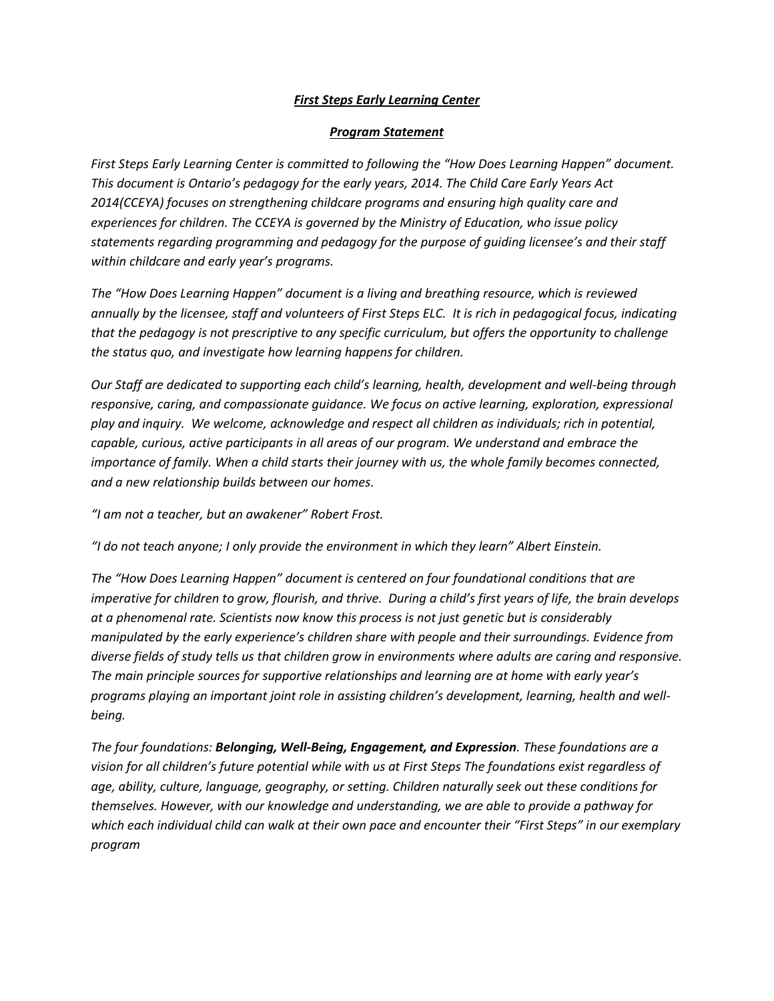# *First Steps Early Learning Center*

## *Program Statement*

*First Steps Early Learning Center is committed to following the "How Does Learning Happen" document. This document is Ontario's pedagogy for the early years, 2014. The Child Care Early Years Act 2014(CCEYA) focuses on strengthening childcare programs and ensuring high quality care and experiences for children. The CCEYA is governed by the Ministry of Education, who issue policy statements regarding programming and pedagogy for the purpose of guiding licensee's and their staff within childcare and early year's programs.* 

*The "How Does Learning Happen" document is a living and breathing resource, which is reviewed annually by the licensee, staff and volunteers of First Steps ELC. It is rich in pedagogical focus, indicating that the pedagogy is not prescriptive to any specific curriculum, but offers the opportunity to challenge the status quo, and investigate how learning happens for children.*

*Our Staff are dedicated to supporting each child's learning, health, development and well-being through responsive, caring, and compassionate guidance. We focus on active learning, exploration, expressional play and inquiry. We welcome, acknowledge and respect all children as individuals; rich in potential, capable, curious, active participants in all areas of our program. We understand and embrace the importance of family. When a child starts their journey with us, the whole family becomes connected, and a new relationship builds between our homes.* 

*"I am not a teacher, but an awakener" Robert Frost.*

*"I do not teach anyone; I only provide the environment in which they learn" Albert Einstein.*

*The "How Does Learning Happen" document is centered on four foundational conditions that are imperative for children to grow, flourish, and thrive. During a child's first years of life, the brain develops at a phenomenal rate. Scientists now know this process is not just genetic but is considerably manipulated by the early experience's children share with people and their surroundings. Evidence from diverse fields of study tells us that children grow in environments where adults are caring and responsive. The main principle sources for supportive relationships and learning are at home with early year's programs playing an important joint role in assisting children's development, learning, health and wellbeing.*

*The four foundations: Belonging, Well-Being, Engagement, and Expression. These foundations are a vision for all children's future potential while with us at First Steps The foundations exist regardless of age, ability, culture, language, geography, or setting. Children naturally seek out these conditions for themselves. However, with our knowledge and understanding, we are able to provide a pathway for which each individual child can walk at their own pace and encounter their "First Steps" in our exemplary program*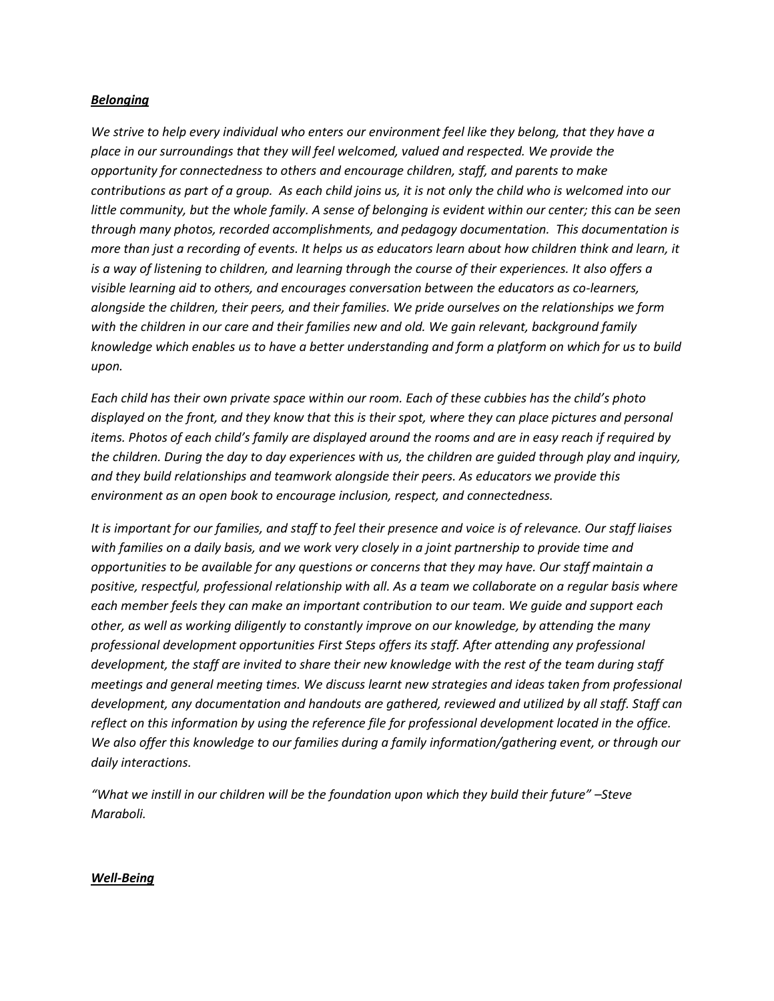## *Belonging*

*We strive to help every individual who enters our environment feel like they belong, that they have a place in our surroundings that they will feel welcomed, valued and respected. We provide the opportunity for connectedness to others and encourage children, staff, and parents to make contributions as part of a group. As each child joins us, it is not only the child who is welcomed into our little community, but the whole family. A sense of belonging is evident within our center; this can be seen through many photos, recorded accomplishments, and pedagogy documentation. This documentation is more than just a recording of events. It helps us as educators learn about how children think and learn, it is a way of listening to children, and learning through the course of their experiences. It also offers a visible learning aid to others, and encourages conversation between the educators as co-learners, alongside the children, their peers, and their families. We pride ourselves on the relationships we form with the children in our care and their families new and old. We gain relevant, background family knowledge which enables us to have a better understanding and form a platform on which for us to build upon.*

*Each child has their own private space within our room. Each of these cubbies has the child's photo displayed on the front, and they know that this is their spot, where they can place pictures and personal items. Photos of each child's family are displayed around the rooms and are in easy reach if required by the children. During the day to day experiences with us, the children are guided through play and inquiry, and they build relationships and teamwork alongside their peers. As educators we provide this environment as an open book to encourage inclusion, respect, and connectedness.*

*It is important for our families, and staff to feel their presence and voice is of relevance. Our staff liaises with families on a daily basis, and we work very closely in a joint partnership to provide time and opportunities to be available for any questions or concerns that they may have. Our staff maintain a positive, respectful, professional relationship with all. As a team we collaborate on a regular basis where each member feels they can make an important contribution to our team. We guide and support each other, as well as working diligently to constantly improve on our knowledge, by attending the many professional development opportunities First Steps offers its staff. After attending any professional development, the staff are invited to share their new knowledge with the rest of the team during staff meetings and general meeting times. We discuss learnt new strategies and ideas taken from professional development, any documentation and handouts are gathered, reviewed and utilized by all staff. Staff can reflect on this information by using the reference file for professional development located in the office. We also offer this knowledge to our families during a family information/gathering event, or through our daily interactions.*

*"What we instill in our children will be the foundation upon which they build their future" –Steve Maraboli.*

### *Well-Being*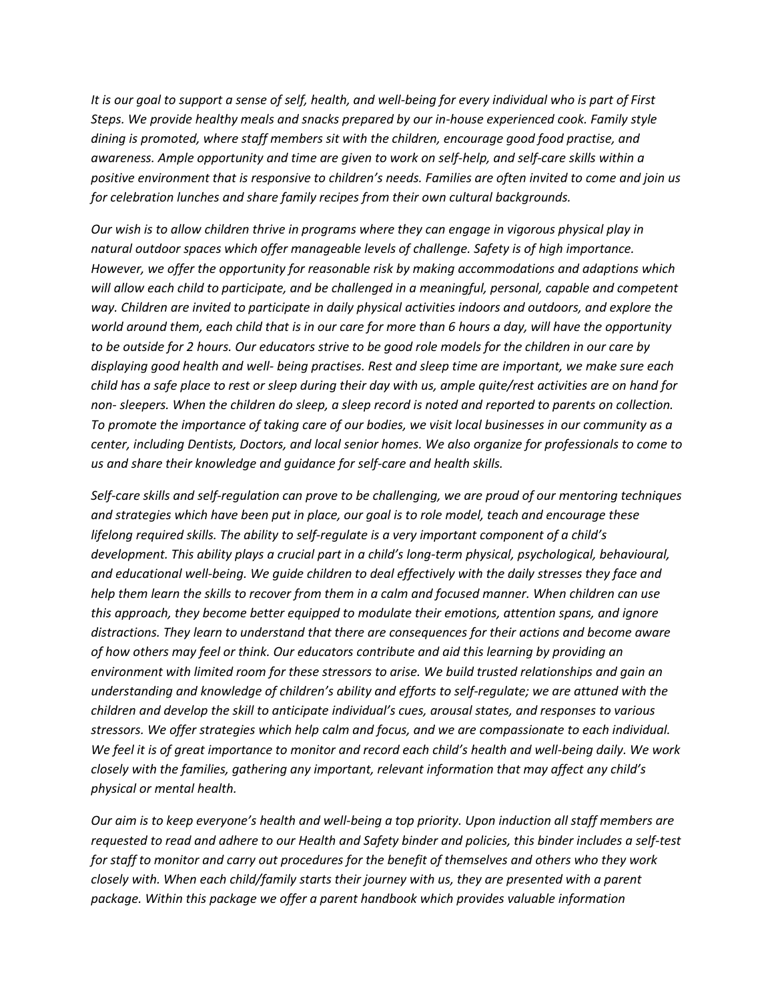*It is our goal to support a sense of self, health, and well-being for every individual who is part of First Steps. We provide healthy meals and snacks prepared by our in-house experienced cook. Family style dining is promoted, where staff members sit with the children, encourage good food practise, and awareness. Ample opportunity and time are given to work on self-help, and self-care skills within a positive environment that is responsive to children's needs. Families are often invited to come and join us for celebration lunches and share family recipes from their own cultural backgrounds.*

*Our wish is to allow children thrive in programs where they can engage in vigorous physical play in natural outdoor spaces which offer manageable levels of challenge. Safety is of high importance. However, we offer the opportunity for reasonable risk by making accommodations and adaptions which will allow each child to participate, and be challenged in a meaningful, personal, capable and competent way. Children are invited to participate in daily physical activities indoors and outdoors, and explore the world around them, each child that is in our care for more than 6 hours a day, will have the opportunity to be outside for 2 hours. Our educators strive to be good role models for the children in our care by displaying good health and well- being practises. Rest and sleep time are important, we make sure each child has a safe place to rest or sleep during their day with us, ample quite/rest activities are on hand for non- sleepers. When the children do sleep, a sleep record is noted and reported to parents on collection. To promote the importance of taking care of our bodies, we visit local businesses in our community as a center, including Dentists, Doctors, and local senior homes. We also organize for professionals to come to us and share their knowledge and guidance for self-care and health skills.*

*Self-care skills and self-regulation can prove to be challenging, we are proud of our mentoring techniques and strategies which have been put in place, our goal is to role model, teach and encourage these lifelong required skills. The ability to self-regulate is a very important component of a child's development. This ability plays a crucial part in a child's long-term physical, psychological, behavioural, and educational well-being. We guide children to deal effectively with the daily stresses they face and help them learn the skills to recover from them in a calm and focused manner. When children can use this approach, they become better equipped to modulate their emotions, attention spans, and ignore distractions. They learn to understand that there are consequences for their actions and become aware of how others may feel or think. Our educators contribute and aid this learning by providing an environment with limited room for these stressors to arise. We build trusted relationships and gain an understanding and knowledge of children's ability and efforts to self-regulate; we are attuned with the children and develop the skill to anticipate individual's cues, arousal states, and responses to various stressors. We offer strategies which help calm and focus, and we are compassionate to each individual. We feel it is of great importance to monitor and record each child's health and well-being daily. We work closely with the families, gathering any important, relevant information that may affect any child's physical or mental health.* 

*Our aim is to keep everyone's health and well-being a top priority. Upon induction all staff members are requested to read and adhere to our Health and Safety binder and policies, this binder includes a self-test for staff to monitor and carry out procedures for the benefit of themselves and others who they work closely with. When each child/family starts their journey with us, they are presented with a parent package. Within this package we offer a parent handbook which provides valuable information*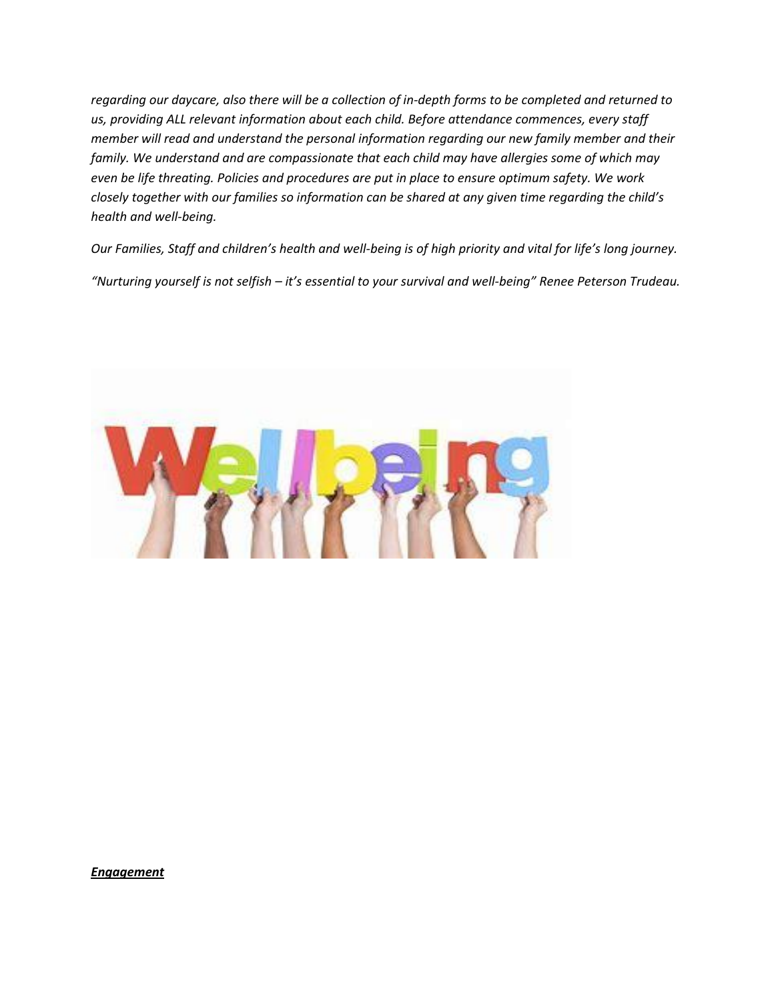*regarding our daycare, also there will be a collection of in-depth forms to be completed and returned to us, providing ALL relevant information about each child. Before attendance commences, every staff member will read and understand the personal information regarding our new family member and their family. We understand and are compassionate that each child may have allergies some of which may even be life threating. Policies and procedures are put in place to ensure optimum safety. We work closely together with our families so information can be shared at any given time regarding the child's health and well-being.* 

*Our Families, Staff and children's health and well-being is of high priority and vital for life's long journey. "Nurturing yourself is not selfish – it's essential to your survival and well-being" Renee Peterson Trudeau.*



*Engagement*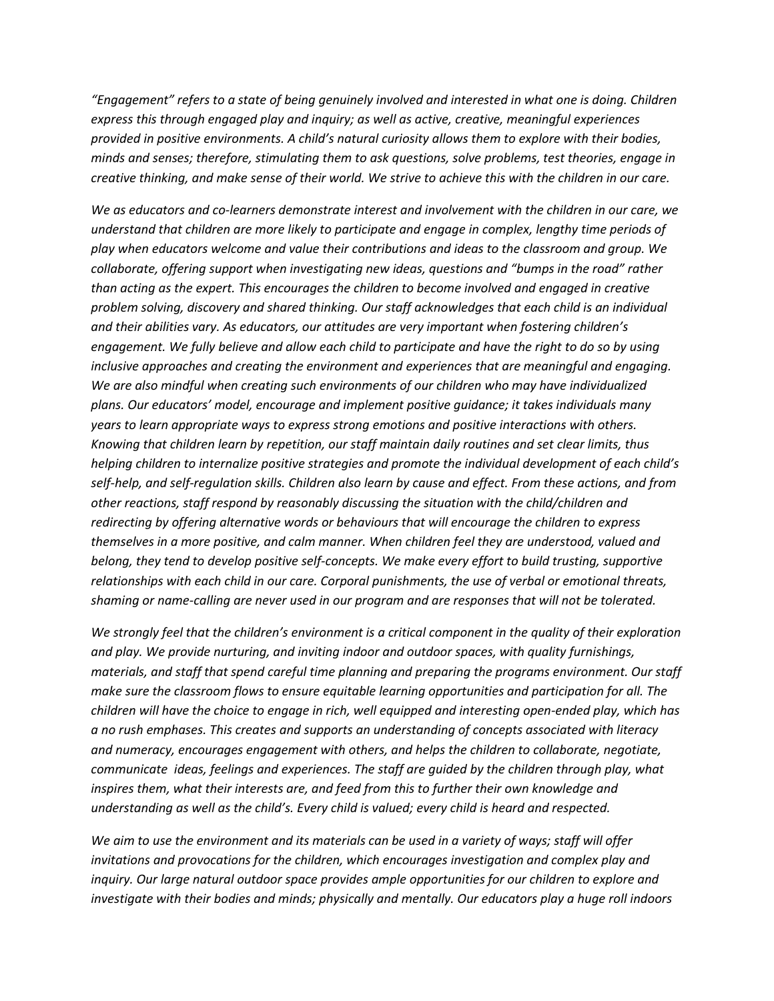*"Engagement" refers to a state of being genuinely involved and interested in what one is doing. Children express this through engaged play and inquiry; as well as active, creative, meaningful experiences provided in positive environments. A child's natural curiosity allows them to explore with their bodies, minds and senses; therefore, stimulating them to ask questions, solve problems, test theories, engage in creative thinking, and make sense of their world. We strive to achieve this with the children in our care.*

*We as educators and co-learners demonstrate interest and involvement with the children in our care, we understand that children are more likely to participate and engage in complex, lengthy time periods of play when educators welcome and value their contributions and ideas to the classroom and group. We collaborate, offering support when investigating new ideas, questions and "bumps in the road" rather than acting as the expert. This encourages the children to become involved and engaged in creative problem solving, discovery and shared thinking. Our staff acknowledges that each child is an individual and their abilities vary. As educators, our attitudes are very important when fostering children's engagement. We fully believe and allow each child to participate and have the right to do so by using inclusive approaches and creating the environment and experiences that are meaningful and engaging. We are also mindful when creating such environments of our children who may have individualized plans. Our educators' model, encourage and implement positive guidance; it takes individuals many years to learn appropriate ways to express strong emotions and positive interactions with others. Knowing that children learn by repetition, our staff maintain daily routines and set clear limits, thus helping children to internalize positive strategies and promote the individual development of each child's self-help, and self-regulation skills. Children also learn by cause and effect. From these actions, and from other reactions, staff respond by reasonably discussing the situation with the child/children and redirecting by offering alternative words or behaviours that will encourage the children to express themselves in a more positive, and calm manner. When children feel they are understood, valued and belong, they tend to develop positive self-concepts. We make every effort to build trusting, supportive relationships with each child in our care. Corporal punishments, the use of verbal or emotional threats, shaming or name-calling are never used in our program and are responses that will not be tolerated.*

*We strongly feel that the children's environment is a critical component in the quality of their exploration and play. We provide nurturing, and inviting indoor and outdoor spaces, with quality furnishings, materials, and staff that spend careful time planning and preparing the programs environment. Our staff make sure the classroom flows to ensure equitable learning opportunities and participation for all. The children will have the choice to engage in rich, well equipped and interesting open-ended play, which has a no rush emphases. This creates and supports an understanding of concepts associated with literacy and numeracy, encourages engagement with others, and helps the children to collaborate, negotiate, communicate ideas, feelings and experiences. The staff are guided by the children through play, what inspires them, what their interests are, and feed from this to further their own knowledge and understanding as well as the child's. Every child is valued; every child is heard and respected.* 

*We aim to use the environment and its materials can be used in a variety of ways; staff will offer invitations and provocations for the children, which encourages investigation and complex play and inquiry. Our large natural outdoor space provides ample opportunities for our children to explore and investigate with their bodies and minds; physically and mentally. Our educators play a huge roll indoors*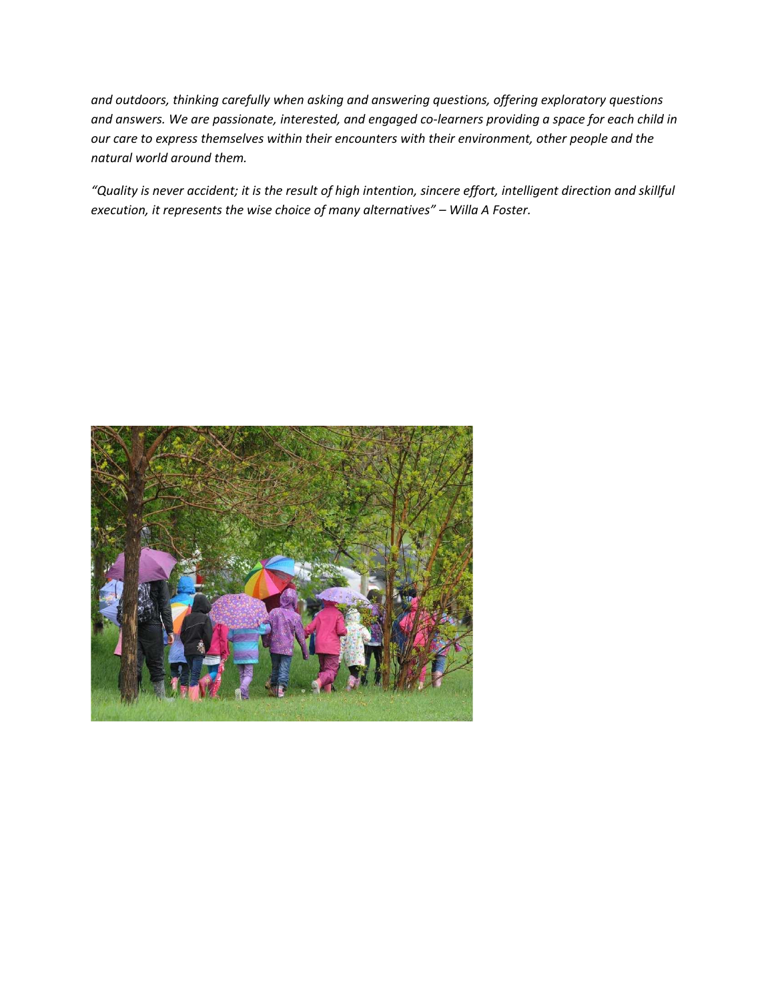*and outdoors, thinking carefully when asking and answering questions, offering exploratory questions and answers. We are passionate, interested, and engaged co-learners providing a space for each child in our care to express themselves within their encounters with their environment, other people and the natural world around them.*

*"Quality is never accident; it is the result of high intention, sincere effort, intelligent direction and skillful execution, it represents the wise choice of many alternatives" – Willa A Foster.*

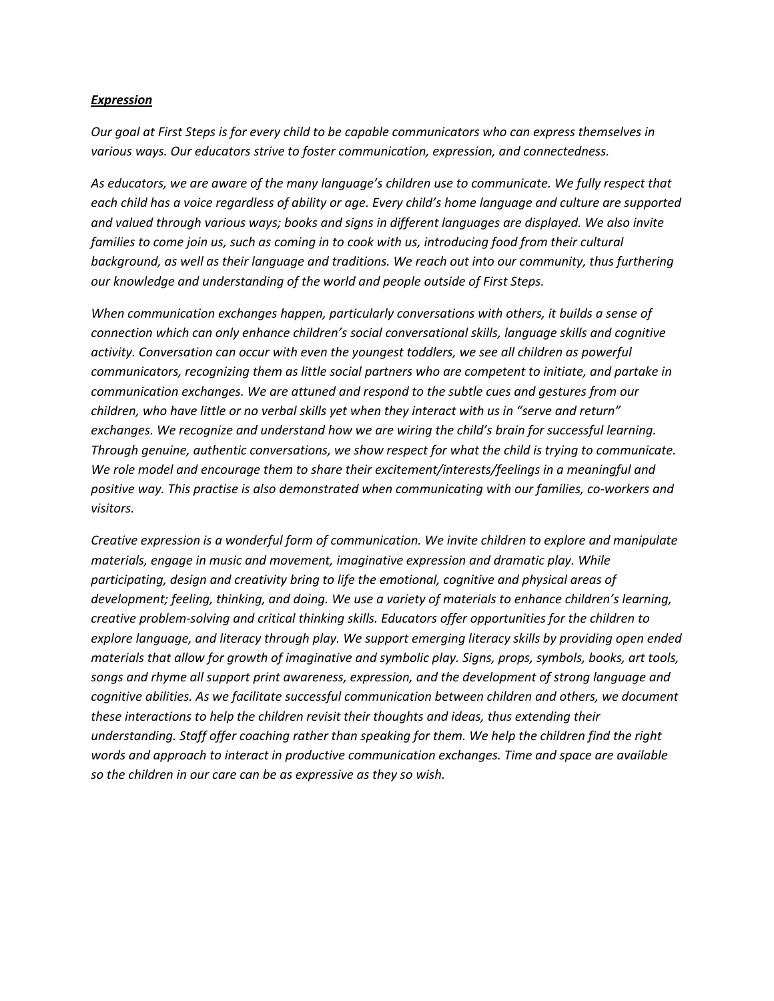## *Expression*

*Our goal at First Steps is for every child to be capable communicators who can express themselves in various ways. Our educators strive to foster communication, expression, and connectedness.*

*As educators, we are aware of the many language's children use to communicate. We fully respect that each child has a voice regardless of ability or age. Every child's home language and culture are supported and valued through various ways; books and signs in different languages are displayed. We also invite*  families to come join us, such as coming in to cook with us, introducing food from their cultural *background, as well as their language and traditions. We reach out into our community, thus furthering our knowledge and understanding of the world and people outside of First Steps.*

*When communication exchanges happen, particularly conversations with others, it builds a sense of connection which can only enhance children's social conversational skills, language skills and cognitive activity. Conversation can occur with even the youngest toddlers, we see all children as powerful communicators, recognizing them as little social partners who are competent to initiate, and partake in communication exchanges. We are attuned and respond to the subtle cues and gestures from our children, who have little or no verbal skills yet when they interact with us in "serve and return" exchanges. We recognize and understand how we are wiring the child's brain for successful learning. Through genuine, authentic conversations, we show respect for what the child is trying to communicate. We role model and encourage them to share their excitement/interests/feelings in a meaningful and positive way. This practise is also demonstrated when communicating with our families, co-workers and visitors.* 

*Creative expression is a wonderful form of communication. We invite children to explore and manipulate materials, engage in music and movement, imaginative expression and dramatic play. While participating, design and creativity bring to life the emotional, cognitive and physical areas of development; feeling, thinking, and doing. We use a variety of materials to enhance children's learning, creative problem-solving and critical thinking skills. Educators offer opportunities for the children to explore language, and literacy through play. We support emerging literacy skills by providing open ended materials that allow for growth of imaginative and symbolic play. Signs, props, symbols, books, art tools, songs and rhyme all support print awareness, expression, and the development of strong language and cognitive abilities. As we facilitate successful communication between children and others, we document these interactions to help the children revisit their thoughts and ideas, thus extending their understanding. Staff offer coaching rather than speaking for them. We help the children find the right words and approach to interact in productive communication exchanges. Time and space are available so the children in our care can be as expressive as they so wish.*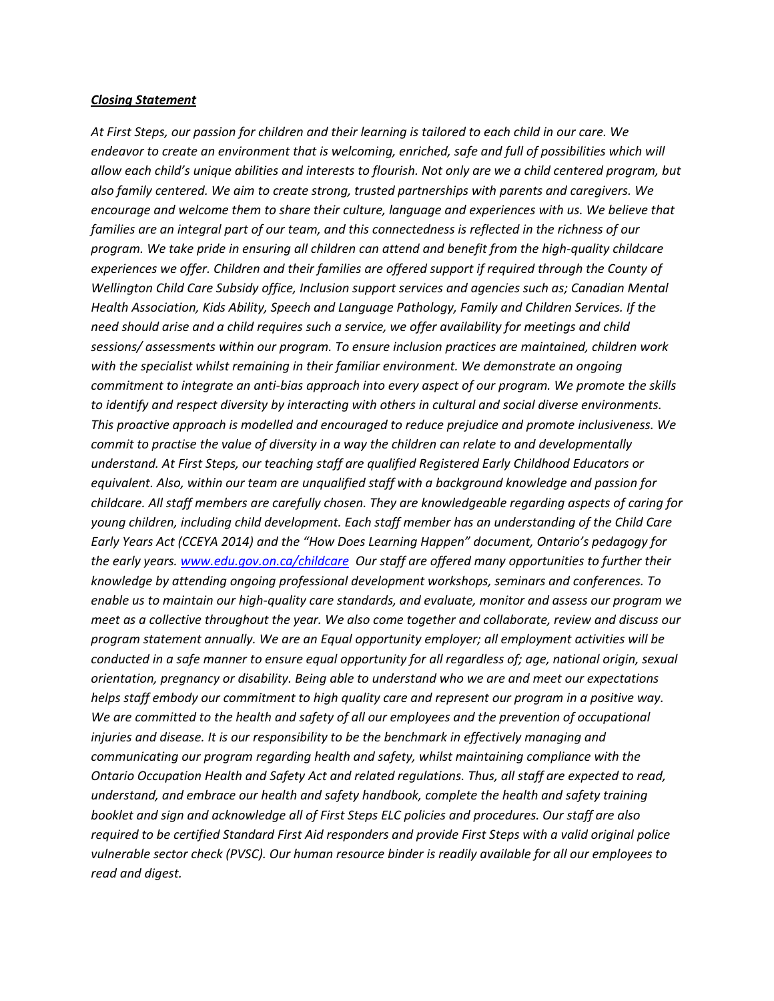#### *Closing Statement*

*At First Steps, our passion for children and their learning is tailored to each child in our care. We endeavor to create an environment that is welcoming, enriched, safe and full of possibilities which will allow each child's unique abilities and interests to flourish. Not only are we a child centered program, but also family centered. We aim to create strong, trusted partnerships with parents and caregivers. We encourage and welcome them to share their culture, language and experiences with us. We believe that*  families are an integral part of our team, and this connectedness is reflected in the richness of our *program. We take pride in ensuring all children can attend and benefit from the high-quality childcare experiences we offer. Children and their families are offered support if required through the County of Wellington Child Care Subsidy office, Inclusion support services and agencies such as; Canadian Mental Health Association, Kids Ability, Speech and Language Pathology, Family and Children Services. If the need should arise and a child requires such a service, we offer availability for meetings and child sessions/ assessments within our program. To ensure inclusion practices are maintained, children work with the specialist whilst remaining in their familiar environment. We demonstrate an ongoing commitment to integrate an anti-bias approach into every aspect of our program. We promote the skills to identify and respect diversity by interacting with others in cultural and social diverse environments. This proactive approach is modelled and encouraged to reduce prejudice and promote inclusiveness. We commit to practise the value of diversity in a way the children can relate to and developmentally understand. At First Steps, our teaching staff are qualified Registered Early Childhood Educators or equivalent. Also, within our team are unqualified staff with a background knowledge and passion for childcare. All staff members are carefully chosen. They are knowledgeable regarding aspects of caring for young children, including child development. Each staff member has an understanding of the Child Care Early Years Act (CCEYA 2014) and the "How Does Learning Happen" document, Ontario's pedagogy for the early years. [www.edu.gov.on.ca/childcare](http://www.edu.gov.on.ca/childcare) Our staff are offered many opportunities to further their knowledge by attending ongoing professional development workshops, seminars and conferences. To enable us to maintain our high-quality care standards, and evaluate, monitor and assess our program we meet as a collective throughout the year. We also come together and collaborate, review and discuss our program statement annually. We are an Equal opportunity employer; all employment activities will be conducted in a safe manner to ensure equal opportunity for all regardless of; age, national origin, sexual orientation, pregnancy or disability. Being able to understand who we are and meet our expectations helps staff embody our commitment to high quality care and represent our program in a positive way. We are committed to the health and safety of all our employees and the prevention of occupational injuries and disease. It is our responsibility to be the benchmark in effectively managing and communicating our program regarding health and safety, whilst maintaining compliance with the Ontario Occupation Health and Safety Act and related regulations. Thus, all staff are expected to read, understand, and embrace our health and safety handbook, complete the health and safety training booklet and sign and acknowledge all of First Steps ELC policies and procedures. Our staff are also required to be certified Standard First Aid responders and provide First Steps with a valid original police vulnerable sector check (PVSC). Our human resource binder is readily available for all our employees to read and digest.*